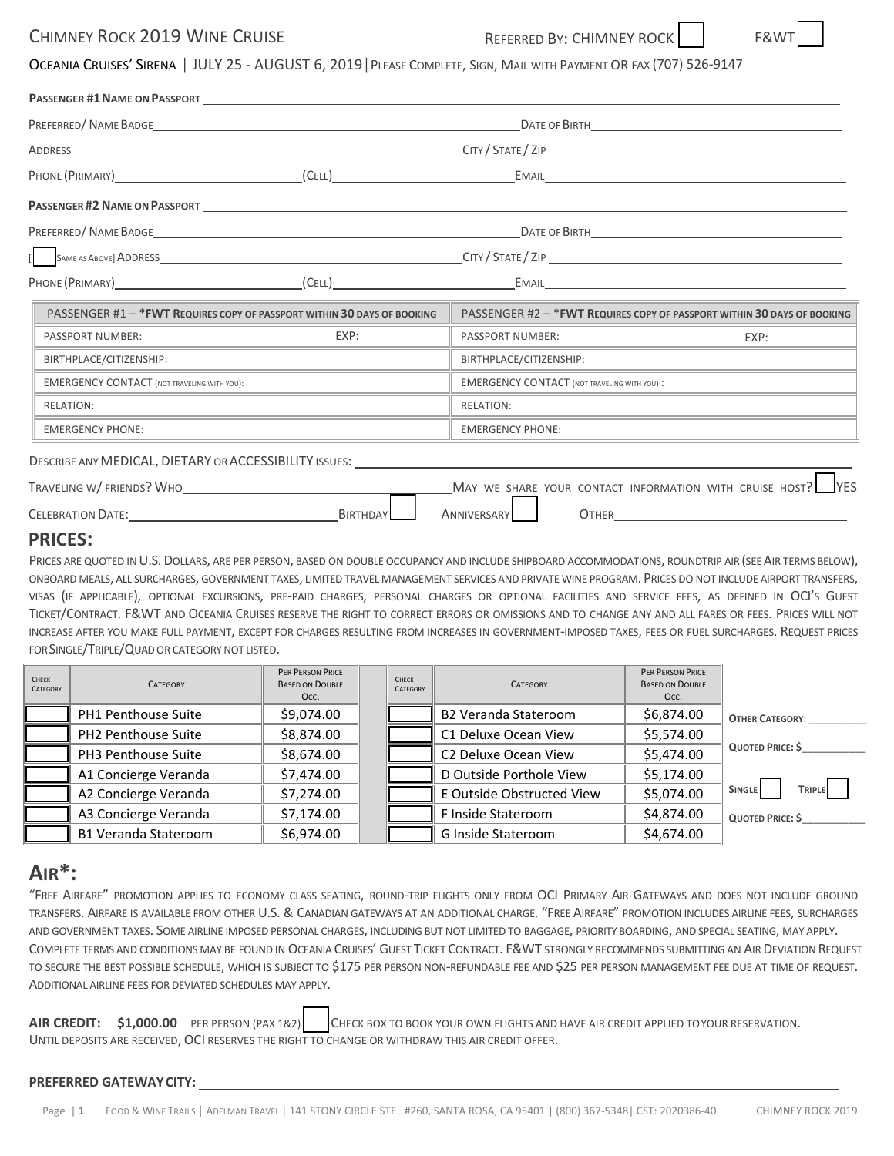# CHIMNEY ROCK 2019 WINE CRUISE **REFERRED BY: CHIMNEY ROCK**



OCEANIA CRUISES' SIRENA │ JULY 25 ‐ AUGUST 6, 2019│PLEASE COMPLETE, SIGN, MAIL WITH PAYMENT OR FAX (707) 526‐9147

|                                                                                                                                                                                                                                     | PREFERRED/NAME BADGE                                                                                                 |                                                                                                                                           |                                                                                                                                                                                                                                    |  |  |  |  |
|-------------------------------------------------------------------------------------------------------------------------------------------------------------------------------------------------------------------------------------|----------------------------------------------------------------------------------------------------------------------|-------------------------------------------------------------------------------------------------------------------------------------------|------------------------------------------------------------------------------------------------------------------------------------------------------------------------------------------------------------------------------------|--|--|--|--|
|                                                                                                                                                                                                                                     |                                                                                                                      |                                                                                                                                           |                                                                                                                                                                                                                                    |  |  |  |  |
|                                                                                                                                                                                                                                     |                                                                                                                      |                                                                                                                                           |                                                                                                                                                                                                                                    |  |  |  |  |
|                                                                                                                                                                                                                                     |                                                                                                                      |                                                                                                                                           |                                                                                                                                                                                                                                    |  |  |  |  |
|                                                                                                                                                                                                                                     |                                                                                                                      |                                                                                                                                           |                                                                                                                                                                                                                                    |  |  |  |  |
|                                                                                                                                                                                                                                     |                                                                                                                      |                                                                                                                                           |                                                                                                                                                                                                                                    |  |  |  |  |
|                                                                                                                                                                                                                                     |                                                                                                                      |                                                                                                                                           |                                                                                                                                                                                                                                    |  |  |  |  |
| PASSENGER #1 - * FWT REQUIRES COPY OF PASSPORT WITHIN 30 DAYS OF BOOKING                                                                                                                                                            |                                                                                                                      | PASSENGER #2 - * FWT REQUIRES COPY OF PASSPORT WITHIN 30 DAYS OF BOOKING                                                                  |                                                                                                                                                                                                                                    |  |  |  |  |
| PASSPORT NUMBER:                                                                                                                                                                                                                    | EXP:                                                                                                                 | PASSPORT NUMBER:                                                                                                                          | EXP:                                                                                                                                                                                                                               |  |  |  |  |
| BIRTHPLACE/CITIZENSHIP:                                                                                                                                                                                                             | <u> 1989 - Johann Stein, markin sanat masjid ayyı bir alan sanat sanat sanat sanat sanat sanat sanat sanat sanat</u> | BIRTHPLACE/CITIZENSHIP:                                                                                                                   | <u>.</u><br>1980 - Johann John Harry, amerikansk politiker (* 1915)                                                                                                                                                                |  |  |  |  |
| <b>EMERGENCY CONTACT (NOT TRAVELING WITH YOU):</b>                                                                                                                                                                                  |                                                                                                                      | <b>EMERGENCY CONTACT (NOT TRAVELING WITH YOU)::</b>                                                                                       |                                                                                                                                                                                                                                    |  |  |  |  |
| <b>RELATION:</b>                                                                                                                                                                                                                    |                                                                                                                      | <b>RELATION:</b><br><u> 1989 - Johann Barn, amerikan berkemaan di sebagai berkemaan di sebagai berkemaan di sebagai berkemaan di seba</u> |                                                                                                                                                                                                                                    |  |  |  |  |
| <b>EMERGENCY PHONE:</b>                                                                                                                                                                                                             | <u> 1989 - Johann John Stone, markin film yn y brenin y brenin y brenin y brenin y brenin y brenin y brenin y br</u> | <b>EMERGENCY PHONE:</b>                                                                                                                   |                                                                                                                                                                                                                                    |  |  |  |  |
|                                                                                                                                                                                                                                     |                                                                                                                      | DESCRIBE ANY MEDICAL, DIETARY OR ACCESSIBILITY ISSUES: UNIVERSITY AND ACCESSIBILITY ISSUES:                                               |                                                                                                                                                                                                                                    |  |  |  |  |
| TRAVELING W/FRIENDS? WHO                                                                                                                                                                                                            |                                                                                                                      | MAY WE SHARE YOUR CONTACT INFORMATION WITH CRUISE HOST?                                                                                   |                                                                                                                                                                                                                                    |  |  |  |  |
| <b>CELEBRATION DATE:</b> THE SERVICE OF THE SERVICE OF THE SERVICE OF THE SERVICE OF THE SERVICE OF THE SERVICE OF THE SERVICE OF THE SERVICE OF THE SERVICE OF THE SERVICE OF THE SERVICE OF THE SERVICE OF THE SERVICE OF THE SER | BIRTHDAY                                                                                                             | ANNIVERSARY                                                                                                                               | <b>OTHER CONTRACTE CONTRACT CONTRACT CONTRACT CONTRACT CONTRACT CONTRACT CONTRACT CONTRACT CONTRACT CONTRACT CONTRACT CONTRACT CONTRACT CONTRACT CONTRACT CONTRACT CONTRACT CONTRACT CONTRACT CONTRACT CONTRACT CONTRACT CONTR</b> |  |  |  |  |
| DDICEC.                                                                                                                                                                                                                             |                                                                                                                      |                                                                                                                                           |                                                                                                                                                                                                                                    |  |  |  |  |

### **PRICES:**

PRICES ARE QUOTED IN U.S. DOLLARS, ARE PER PERSON, BASED ON DOUBLE OCCUPANCY AND INCLUDE SHIPBOARD ACCOMMODATIONS, ROUNDTRIP AIR (SEE AIR TERMS BELOW), ONBOARD MEALS, ALL SURCHARGES, GOVERNMENT TAXES, LIMITED TRAVEL MANAGEMENT SERVICES AND PRIVATE WINE PROGRAM. PRICES DO NOT INCLUDE AIRPORT TRANSFERS, VISAS (IF APPLICABLE), OPTIONAL EXCURSIONS, PRE-PAID CHARGES, PERSONAL CHARGES OR OPTIONAL FACILITIES AND SERVICE FEES, AS DEFINED IN OCI'S GUEST TICKET/CONTRACT. F&WT AND OCEANIA CRUISES RESERVE THE RIGHT TO CORRECT ERRORS OR OMISSIONS AND TO CHANGE ANY AND ALL FARES OR FEES. PRICES WILL NOT INCREASE AFTER YOU MAKE FULL PAYMENT, EXCEPT FOR CHARGES RESULTING FROM INCREASES IN GOVERNMENT‐IMPOSED TAXES, FEES OR FUEL SURCHARGES. REQUEST PRICES FOR SINGLE/TRIPLE/QUAD OR CATEGORY NOT LISTED.

| <b>CHECK</b><br>CATEGORY | <b>CATEGORY</b>             | PER PERSON PRICE<br><b>BASED ON DOUBLE</b><br>Occ. | CHECK<br>CATEGORY | <b>CATEGORY</b>             | PER PERSON PRICE<br><b>BASED ON DOUBLE</b><br>Occ. |                         |
|--------------------------|-----------------------------|----------------------------------------------------|-------------------|-----------------------------|----------------------------------------------------|-------------------------|
|                          | PH1 Penthouse Suite         | \$9,074.00                                         |                   | <b>B2 Veranda Stateroom</b> | \$6,874.00                                         | <b>OTHER CATEGORY:</b>  |
|                          | PH2 Penthouse Suite         | \$8,874.00                                         |                   | C1 Deluxe Ocean View        | \$5,574.00                                         |                         |
|                          | PH3 Penthouse Suite         | \$8,674.00                                         |                   | C2 Deluxe Ocean View        | \$5,474.00                                         | <b>QUOTED PRICE: \$</b> |
|                          | A1 Concierge Veranda        | \$7,474.00                                         |                   | D Outside Porthole View     | \$5,174.00                                         |                         |
|                          | A2 Concierge Veranda        | \$7,274.00                                         |                   | E Outside Obstructed View   | \$5,074.00                                         | TRIPLE<br><b>SINGLE</b> |
|                          | A3 Concierge Veranda        | \$7,174.00                                         |                   | F Inside Stateroom          | \$4,874.00                                         | <b>QUOTED PRICE: S</b>  |
|                          | <b>B1 Veranda Stateroom</b> | \$6,974.00                                         |                   | G Inside Stateroom          | \$4,674.00                                         |                         |

## **AIR\*:**

"FREE AIRFARE" PROMOTION APPLIES TO ECONOMY CLASS SEATING, ROUND‐TRIP FLIGHTS ONLY FROM OCI PRIMARY AIR GATEWAYS AND DOES NOT INCLUDE GROUND TRANSFERS. AIRFARE IS AVAILABLE FROM OTHER U.S. & CANADIAN GATEWAYS AT AN ADDITIONAL CHARGE. "FREE AIRFARE" PROMOTION INCLUDES AIRLINE FEES, SURCHARGES AND GOVERNMENT TAXES. SOME AIRLINE IMPOSED PERSONAL CHARGES, INCLUDING BUT NOT LIMITED TO BAGGAGE, PRIORITY BOARDING, AND SPECIAL SEATING, MAY APPLY. COMPLETE TERMS AND CONDITIONS MAY BE FOUND IN OCEANIA CRUISES' GUEST TICKET CONTRACT. F&WT STRONGLY RECOMMENDS SUBMITTING AN AIR DEVIATION REQUEST TO SECURE THE BEST POSSIBLE SCHEDULE, WHICH IS SUBJECT TO \$175 PER PERSON NON-REFUNDABLE FEE AND \$25 PER PERSON MANAGEMENT FEE DUE AT TIME OF REQUEST. ADDITIONAL AIRLINE FEES FOR DEVIATED SCHEDULES MAY APPLY.

**AIR CREDIT: \$1,000.00** PER PERSON (PAX 1&2) CHECK BOX TO BOOK YOUR OWN FLIGHTS AND HAVE AIR CREDIT APPLIED TOYOUR RESERVATION. UNTIL DEPOSITS ARE RECEIVED, OCI RESERVES THE RIGHT TO CHANGE OR WITHDRAW THIS AIR CREDIT OFFER.

#### **PREFERRED GATEWAYCITY:**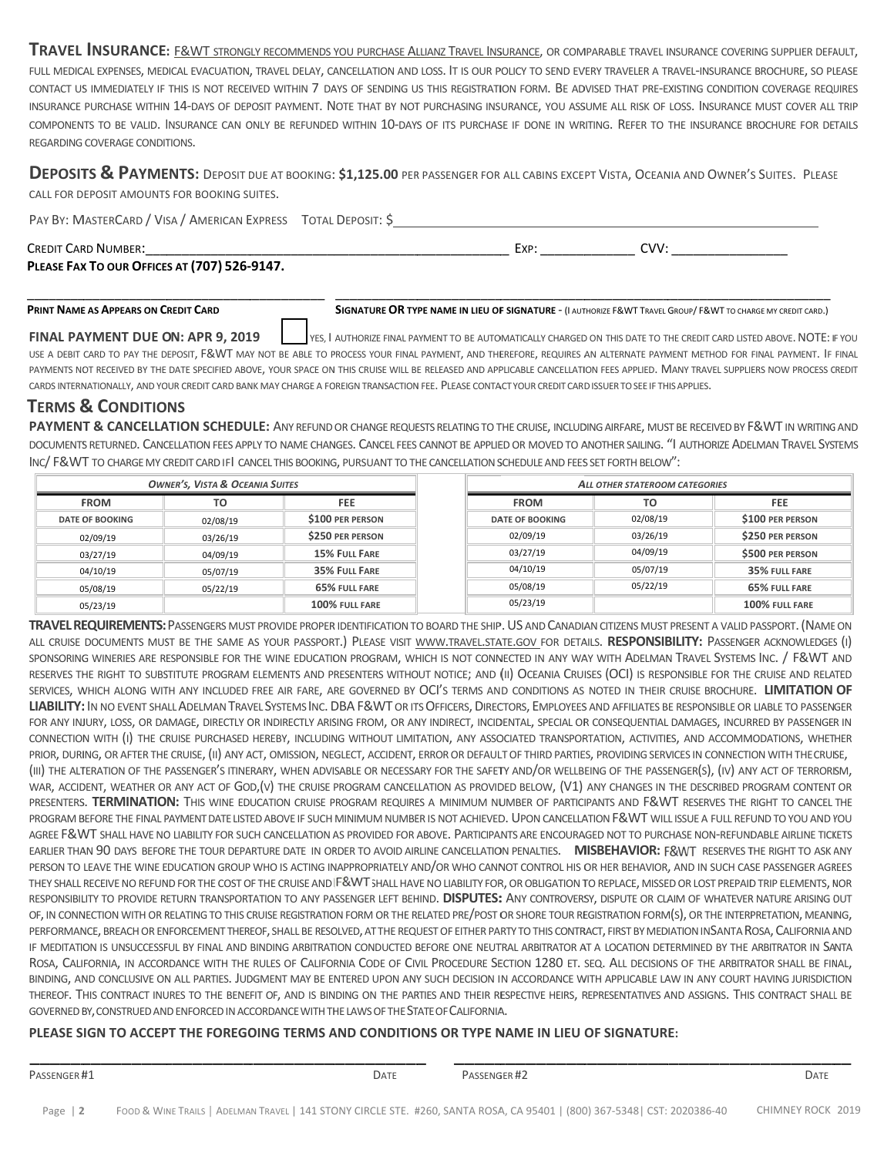TRAVEL INSURANCE: E&WT STRONGLY RECOMMENDS YOU PURCHASE ALLIANZ TRAVEL INSURANCE, OR COMPARABLE TRAVEL INSURANCE COVERING SUPPLIER DEFAULT, FULL MEDICAL EXPENSES, MEDICAL EVACUATION, TRAVEL DELAY, CANCELLATION AND LOSS. IT IS OUR POLICY TO SEND EVERY TRAVELER A TRAVEL-INSURANCE BROCHURE, SO PLEASE CONTACT US IMMEDIATELY IF THIS IS NOT RECEIVED WITHIN 7 DAYS OF SENDING US THIS REGISTRATION FORM. BE ADVISED THAT PRE-EXISTING CONDITION COVERAGE REQUIRES INSURANCE PURCHASE WITHIN 14-DAYS OF DEPOSIT PAYMENT. NOTE THAT BY NOT PURCHASING INSURANCE, YOU ASSUME ALL RISK OF LOSS. INSURANCE MUST COVER ALL TRIP COMPONENTS TO BE VALID. INSURANCE CAN ONLY BE REFUNDED WITHIN 10-DAYS OF ITS PURCHASE IF DONE IN WRITING. REFER TO THE INSURANCE BROCHURE FOR DETAILS REGARDING COVERAGE CONDITIONS.

DEPOSITS & PAYMENTS: DEPOSIT DUE AT BOOKING: \$1,125.00 PER PASSENGER FOR ALL CABINS EXCEPT VISTA, OCEANIA AND OWNER'S SUITES. PLEASE CALL FOR DEPOSIT AMOUNTS FOR BOOKING SUITES.

PAY BY: MASTERCARD / VISA / AMERICAN EXPRESS TOTAL DEPOSIT: \$ CREDIT CARD NUMBER: \_\_\_\_\_\_\_\_\_\_\_\_\_ \_\_\_\_\_\_\_\_\_\_\_\_ \_\_\_\_\_\_\_\_\_\_\_\_\_ \_\_\_\_\_\_\_\_\_\_\_\_ \_\_ EXP: \_\_\_\_\_\_\_ \_\_\_\_\_\_\_\_ CVV: : \_\_\_\_\_\_\_\_\_\_\_  $\overline{\phantom{a}}$ 

\_\_\_\_\_\_\_\_\_\_\_\_

**PLEASE FAX X TO OUR OFFICE S AT (707) 526 ‐9147.**

\_\_\_\_\_\_\_\_\_\_\_\_

\_\_\_\_\_\_\_\_\_\_\_

#### **PRINT NAME E AS APPEARS ON C REDIT CARD**  \_\_\_\_\_\_\_\_\_\_\_\_\_

\_\_\_\_\_\_\_\_

**SIGNATURE OR TYPE NAME IN LIEU OF SIGNATURE - (I AUTHORIZE F&WT TRAVEL GROUP/ F&WT TO CHARGE MY CREDIT CARD.)** 

\_\_\_\_\_\_\_\_\_\_\_\_

\_\_\_\_\_\_\_\_\_\_\_\_\_

\_\_\_\_\_\_\_\_\_\_\_

\_\_\_\_\_\_\_\_\_\_\_\_\_

**FINAL PA AYMENT DUE O N: APR 9, 2019** USE A DEBIT CARD TO PAY THE DEPOSIT, F&WT MAY NOT BE ABLE TO PROCESS YOUR FINAL PAYMENT, AND THEREFORE, REQUIRES AN ALTERNATE PAYMENT METHOD FOR FINAL PAYMENT. IF FINAL PAYMENTS NOT RECEIVED BY THE DATE SPECIFIED ABOVE, YOUR SPACE ON THIS CRUISE WILL BE RELEASED AND APPLICABLE CANCELLATION FEES APPLIED. MANY TRAVEL SUPPLIERS NOW PROCESS CREDIT CARDS INTERNATIONALLY, AND YOUR CREDIT CARD BANK MAY CHARGE A FOREIGN TRANSACTION FEE. PLEASE CONTACT YOUR CREDIT CARD ISSUER TO SEE IF THIS APPLIES. YES, I AUTHORIZE FINAL PAYMENT TO BE AUTOMATICALLY CHARGED ON THIS DATE TO THE CREDIT CARD LISTED ABOVE. NOTE: I E<br>IF YOU

\_\_\_\_\_\_\_\_\_\_\_\_

## **TERMS & CONDITIO NS**

PAYMENT & CANCELLATION SCHEDULE: ANY REFUND OR CHANGE REQUESTS RELATING TO THE CRUISE, INCLUDING AIRFARE, MUST BE RECEIVED BY F&WT IN WRITING AND DOCUMENTS RETURNED. CANCELLATION FEES APPLY TO NAME CHANGES. CANCEL FEES CANNOT BE APPLIED OR MOVED TO ANOTHER SAILING. "I AUTHORIZE ADELMAN TRAVEL SYSTEMS INC/ F&WT TO CHARGE MY CREDIT CARD IFI CANCEL THIS BOOKING, PURSUANT TO THE CANCELLATION SCHEDULE AND FEES SET FORTH BELOW":

| <b>OWNER'S, VISTA &amp; OCEANIA SUITES</b> |          |                         | ALL OTHER STATEROOM CATEGORIES |          |                         |
|--------------------------------------------|----------|-------------------------|--------------------------------|----------|-------------------------|
| <b>FROM</b>                                | TO       | <b>FEE</b>              | <b>FROM</b>                    | то       | <b>FEE</b>              |
| <b>DATE OF BOOKING</b>                     | 02/08/19 | \$100 PER PERSON        | <b>DATE OF BOOKING</b>         | 02/08/19 | \$100 PER PERSON        |
| 02/09/19                                   | 03/26/19 | <b>\$250 PER PERSON</b> | 02/09/19                       | 03/26/19 | <b>\$250 PER PERSON</b> |
| 03/27/19                                   | 04/09/19 | 15% FULL FARE           | 03/27/19                       | 04/09/19 | \$500 PER PERSON        |
| 04/10/19                                   | 05/07/19 | 35% FULL FARE           | 04/10/19                       | 05/07/19 | 35% FULL FARE           |
| 05/08/19                                   | 05/22/19 | 65% FULL FARE           | 05/08/19                       | 05/22/19 | 65% FULL FARE           |
| 05/23/19                                   |          | 100% FULL FARE          | 05/23/19                       |          | 100% FULL FARE          |

TRAVEL REQUIREMENTS: PASSENGERS MUST PROVIDE PROPER IDENTIFICATION TO BOARD THE SHIP. US AND CANADIAN CITIZENS MUST PRESENT A VALID PASSPORT. (NAME ON all cruise documents must be the same as your passport.) Please visit <u>www.travel.state.gov f</u>or details. **RESPONSIBILITY:** Passenger acknowledges (i) sponsoring wineries are responsible for the wine education program, which is not connected in any way with Adelman Travel Systems Inc. / F&WT and RESERVES THE RIGHT TO SUBSTITUTE PROGRAM ELEMENTS AND PRESENTERS WITHOUT NOTICE; AND (II) OCEANIA CRUISES (OCI) IS RESPONSIBLE FOR THE CRUISE AND RELATED services, which along with any included free air fare, are governed by OCI's terms and conditions as noted in their cruise brochure. LIMITATION OF LIABILITY: IN NO EVENT SHALL ADELMAN TRAVEL SYSTEMS INC. DBA F&WT OR ITS OFFICERS, DIRECTORS, EMPLOYEES AND AFFILIATES BE RESPONSIBLE OR LIABLE TO PASSENGER FOR ANY INJURY, LOSS, OR DAMAGE, DIRECTLY OR INDIRECTLY ARISING FROM, OR ANY INDIRECT, INCIDENTAL, SPECIAL OR CONSEQUENTIAL DAMAGES, INCURRED BY PASSENGER IN CONNECTION WITH (I) THE CRUISE PURCHASED HEREBY, INCLUDING WITHOUT LIMITATION, ANY ASSOCIATED TRANSPORTATION, ACTIVITIES, AND ACCOMMODATIONS, WHETHER PRIOR, DURING, OR AFTER THE CRUISE, (II) ANY ACT, OMISSION, NEGLECT, ACCIDENT, ERROR OR DEFAULT OF THIRD PARTIES, PROVIDING SERVICES IN CONNECTION WITH THE CRUISE, (III) THE ALTERATION OF THE PASSENGER'S ITINERARY, WHEN ADVISABLE OR NECESSARY FOR THE SAFETY AND/OR WELLBEING OF THE PASSENGER(S), (IV) ANY ACT OF TERRORISM, WAR, ACCIDENT, WEATHER OR ANY ACT OF GOD,(V) THE CRUISE PROGRAM CANCELLATION AS PROVIDED BELOW, (V1) ANY CHANGES IN THE DESCRIBED PROGRAM CONTENT OR PRESENTERS. TERMINATION: THIS WINE EDUCATION CRUISE PROGRAM REQUIRES A MINIMUM NUMBER OF PARTICIPANTS AND F&WT RESERVES THE RIGHT TO CANCEL THE PROGRAM BEFORE THE FINAL PAYMENT DATE LISTED ABOVE IF SUCH MINIMUM NUMBER IS NOT ACHIEVED. UPON CANCELLATION F&WT WILL ISSUE A FULL REFUND TO YOU AND YOU AGREE F&WT SHALL HAVE NO LIABILITY FOR SUCH CANCELLATION AS PROVIDED FOR ABOVE. PARTICIPANTS ARE ENCOURAGED NOT TO PURCHASE NON-REFUNDABLE AIRLINE TICKETS EARLIER THAN 90 DAYS BEFORE THE TOUR DEPARTURE DATE IN ORDER TO AVOID AIRLINE CANCELLATION PENALTIES. **MISBEHAVIOR:** F&WT RESERVES THE RIGHT TO ASK ANY PERSON TO LEAVE THE WINE EDUCATION GROUP WHO IS ACTING INAPPROPRIATELY AND/OR WHO CANNOT CONTROL HIS OR HER BEHAVIOR, AND IN SUCH CASE PASSENGER AGREES THEY SHALL RECEIVE NO REFUND FOR THE COST OF THE CRUISE AND |F&WT SHALL HAVE NO LIABILITY FOR, OR OBLIGATION TO REPLACE, MISSED OR LOST PREPAID TRIP ELEMENTS, NOR RESPONSIBILITY TO PROVIDE RETURN TRANSPORTATION TO ANY PASSENGER LEFT BEHIND. DISPUTES: ANY CONTROVERSY, DISPUTE OR CLAIM OF WHATEVER NATURE ARISING OUT OF, IN CONNECTION WITH OR RELATING TO THIS CRUISE REGISTRATION FORM OR THE RELATED PRE/POST OR SHORE TOUR REGISTRATION FORM(S), OR THE INTERPRETATION, MEANING, PERFORMANCE, BREACH OR ENFORCEMENT THEREOF, SHALL BE RESOLVED, AT THE REQUEST OF EITHER PARTY TO THIS CONTRACT, FIRST BY MEDIATION INSANTA ROSA, CALIFORNIA AND IF MEDITATION IS UNSUCCESSFUL BY FINAL AND BINDING ARBITRATION CONDUCTED BEFORE ONE NEUTRAL ARBITRATOR AT A LOCATION DETERMINED BY THE ARBITRATOR IN SANTA ROSA, CALIFORNIA, IN ACCORDANCE WITH THE RULES OF CALIFORNIA CODE OF CIVIL PROCEDURE SECTION 1280 ET. SEQ. ALL DECISIONS OF THE ARBITRATOR SHALL BE FINAL, BINDING, AND CONCLUSIVE ON ALL PARTIES. JUDGMENT MAY BE ENTERED UPON ANY SUCH DECISION IN ACCORDANCE WITH APPLICABLE LAW IN ANY COURT HAVING JURISDICTION thereof. This contract inures to the benefit of, and is binding on the parties and their respective heirs, representatives and assigns. This contract shall be GOVERNED BY, CONSTRUED AND ENFORCED IN ACCORDANCE WITH THE LAWS OF THE STATE OF CALIFORNIA.

### PLEASE SIGN TO ACCEPT THE FOREGOING TERMS AND CONDITIONS OR TYPE NAME IN LIEU OF SIGNATURE:

\_\_\_\_\_\_\_\_\_

\_\_\_\_\_\_ PASSENGER#1

\_\_\_\_\_\_\_\_\_

\_\_\_\_\_\_\_\_\_

\_\_\_\_\_\_\_\_\_\_

PASSENGER#2

\_\_\_\_\_\_\_\_\_

\_\_\_\_\_\_\_\_\_

\_\_\_\_\_\_\_\_\_\_

 $\overline{\phantom{a}}$ 

\_\_\_\_\_\_\_\_\_

\_ \_\_\_\_\_